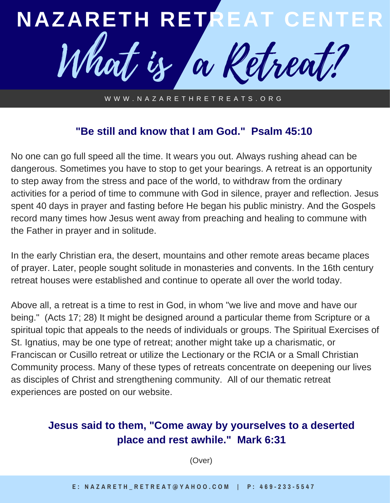

W W W . N A Z A R E T H R E T R E A T S . O R G

## **"Be still and know that I am God." Psalm 45:10**

No one can go full speed all the time. It wears you out. Always rushing ahead can be dangerous. Sometimes you have to stop to get your bearings. A retreat is an opportunity to step away from the stress and pace of the world, to withdraw from the ordinary activities for a period of time to commune with God in silence, prayer and reflection. Jesus spent 40 days in prayer and fasting before He began his public ministry. And the Gospels record many times how Jesus went away from preaching and healing to commune with the Father in prayer and in solitude.

In the early Christian era, the desert, mountains and other remote areas became places of prayer. Later, people sought solitude in monasteries and convents. In the 16th century retreat houses were established and continue to operate all over the world today.

Above all, a retreat is a time to rest in God, in whom "we live and move and have our being." (Acts 17; 28) It might be designed around a particular theme from Scripture or a spiritual topic that appeals to the needs of individuals or groups. The Spiritual Exercises of St. Ignatius, may be one type of retreat; another might take up a charismatic, or Franciscan or Cusillo retreat or utilize the Lectionary or the RCIA or a Small Christian Community process. Many of these types of retreats concentrate on deepening our lives as disciples of Christ and strengthening community. All of our thematic retreat experiences are posted on our website.

## **Jesus said to them, "Come away by yourselves to a deserted place and rest awhile." Mark 6:31**

(Over)